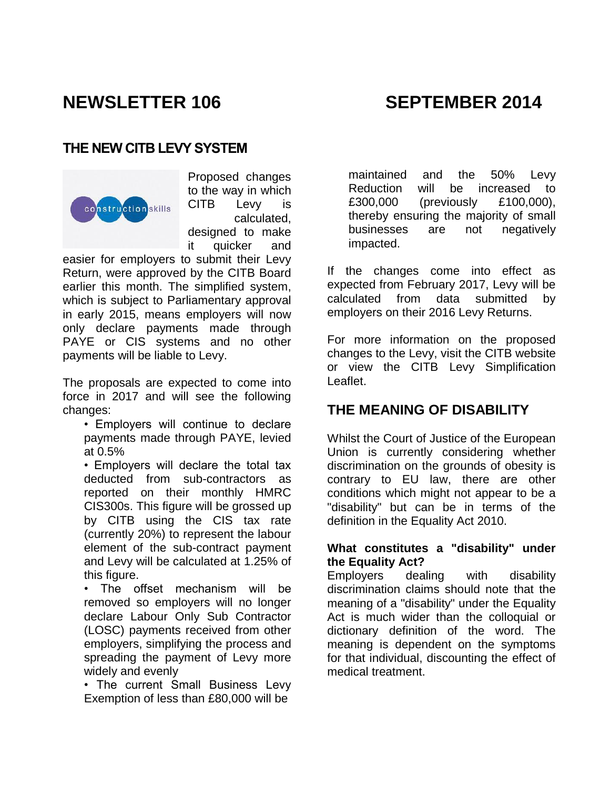# **NEWSLETTER 106 SEPTEMBER 2014**

## **THE NEW CITB LEVY SYSTEM**



Proposed changes to the way in which CITB Levy is calculated, designed to make it quicker and

easier for employers to submit their Levy Return, were approved by the CITB Board earlier this month. The simplified system, which is subject to Parliamentary approval in early 2015, means employers will now only declare payments made through PAYE or CIS systems and no other payments will be liable to Levy.

The proposals are expected to come into force in 2017 and will see the following changes:

• Employers will continue to declare payments made through PAYE, levied at 0.5%

• Employers will declare the total tax deducted from sub-contractors as reported on their monthly HMRC CIS300s. This figure will be grossed up by CITB using the CIS tax rate (currently 20%) to represent the labour element of the sub-contract payment and Levy will be calculated at 1.25% of this figure.

• The offset mechanism will be removed so employers will no longer declare Labour Only Sub Contractor (LOSC) payments received from other employers, simplifying the process and spreading the payment of Levy more widely and evenly

• The current Small Business Levy Exemption of less than £80,000 will be

maintained and the 50% Levy Reduction will be increased to £300,000 (previously £100,000), thereby ensuring the majority of small businesses are not negatively impacted.

If the changes come into effect as expected from February 2017, Levy will be calculated from data submitted by employers on their 2016 Levy Returns.

For more information on the proposed changes to the Levy, visit the [CITB website](http://www.citb.co.uk/levy-grant/levy-simplification/) or view the CITB [Levy Simplification](http://www.nscc.org.uk/documents/Levy-Simplification-Leaflet.pdf)  [Leaflet.](http://www.nscc.org.uk/documents/Levy-Simplification-Leaflet.pdf)

## **THE MEANING OF DISABILITY**

Whilst the Court of Justice of the European Union is currently considering whether discrimination on the grounds of obesity is contrary to EU law, there are other conditions which might not appear to be a "disability" but can be in terms of the definition in the Equality Act 2010.

### **What constitutes a "disability" under the Equality Act?**

Employers dealing with disability discrimination claims should note that the meaning of a "disability" under the Equality Act is much wider than the colloquial or dictionary definition of the word. The meaning is dependent on the symptoms for that individual, discounting the effect of medical treatment.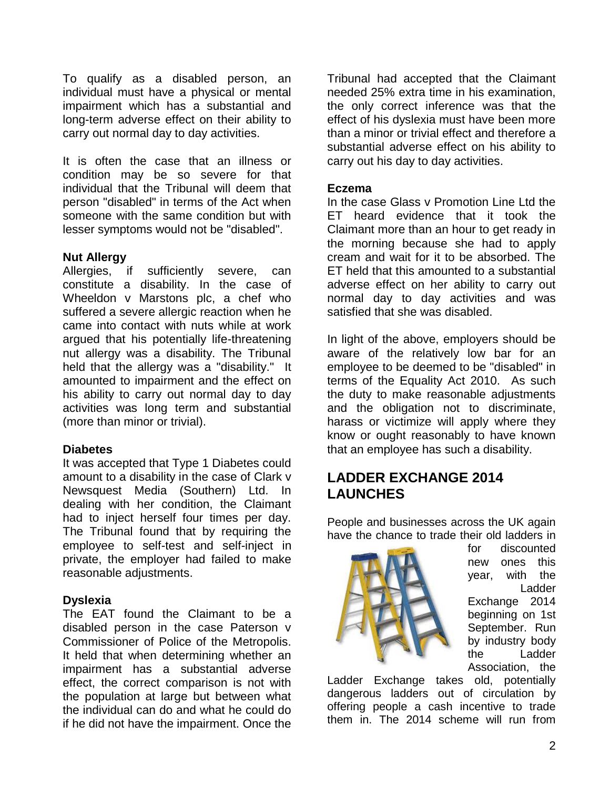To qualify as a disabled person, an individual must have a physical or mental impairment which has a substantial and long-term adverse effect on their ability to carry out normal day to day activities.

It is often the case that an illness or condition may be so severe for that individual that the Tribunal will deem that person "disabled" in terms of the Act when someone with the same condition but with lesser symptoms would not be "disabled".

#### **Nut Allergy**

Allergies, if sufficiently severe, can constitute a disability. In the case of Wheeldon v Marstons plc, a chef who suffered a severe allergic reaction when he came into contact with nuts while at work argued that his potentially life-threatening nut allergy was a disability. The Tribunal held that the allergy was a "disability." It amounted to impairment and the effect on his ability to carry out normal day to day activities was long term and substantial (more than minor or trivial).

#### **Diabetes**

It was accepted that Type 1 Diabetes could amount to a disability in the case of Clark v Newsquest Media (Southern) Ltd. In dealing with her condition, the Claimant had to inject herself four times per day. The Tribunal found that by requiring the employee to self-test and self-inject in private, the employer had failed to make reasonable adjustments.

#### **Dyslexia**

The EAT found the Claimant to be a disabled person in the case Paterson v Commissioner of Police of the Metropolis. It held that when determining whether an impairment has a substantial adverse effect, the correct comparison is not with the population at large but between what the individual can do and what he could do if he did not have the impairment. Once the

Tribunal had accepted that the Claimant needed 25% extra time in his examination, the only correct inference was that the effect of his dyslexia must have been more than a minor or trivial effect and therefore a substantial adverse effect on his ability to carry out his day to day activities.

#### **Eczema**

In the case Glass v Promotion Line Ltd the ET heard evidence that it took the Claimant more than an hour to get ready in the morning because she had to apply cream and wait for it to be absorbed. The ET held that this amounted to a substantial adverse effect on her ability to carry out normal day to day activities and was satisfied that she was disabled.

In light of the above, employers should be aware of the relatively low bar for an employee to be deemed to be "disabled" in terms of the Equality Act 2010. As such the duty to make reasonable adjustments and the obligation not to discriminate, harass or victimize will apply where they know or ought reasonably to have known that an employee has such a disability.

## **LADDER EXCHANGE 2014 LAUNCHES**

People and businesses across the UK again have the chance to trade their old ladders in



for discounted new ones this year, with the [Ladder](http://pasma.us4.list-manage.com/track/click?u=6ec39ba95ce261d16ad0e8544&id=d3f7699462&e=d0de764b97)  [Exchange](http://pasma.us4.list-manage.com/track/click?u=6ec39ba95ce261d16ad0e8544&id=d3f7699462&e=d0de764b97) 2014 beginning on 1st September. Run by industry body the Ladder Association, the

Ladder Exchange takes old, potentially dangerous ladders out of circulation by offering people a cash incentive to trade them in. The 2014 scheme will run from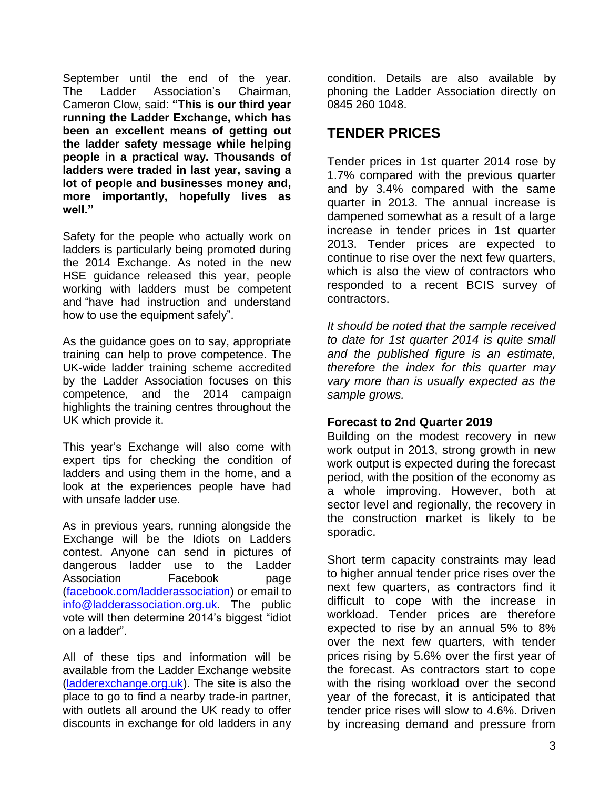September until the end of the year. The Ladder Association's Chairman, Cameron Clow, said: **"This is our third year running the Ladder Exchange, which has been an excellent means of getting out the ladder safety message while helping people in a practical way. Thousands of ladders were traded in last year, saving a lot of people and businesses money and, more importantly, hopefully lives as well."**

Safety for the people who actually work on ladders is particularly being promoted during the 2014 Exchange. As noted in the new HSE guidance released this year, people working with ladders must be competent and "have had instruction and understand how to use the equipment safely".

As the guidance goes on to say, appropriate training can help to prove competence. The UK-wide ladder training scheme accredited by the Ladder Association focuses on this competence, and the 2014 campaign highlights the training centres throughout the UK which provide it.

This year's Exchange will also come with expert tips for checking the condition of ladders and using them in the home, and a look at the experiences people have had with unsafe ladder use.

As in previous years, running alongside the Exchange will be the Idiots on Ladders contest. Anyone can send in pictures of dangerous ladder use to the Ladder Association Facebook page [\(facebook.com/ladderassociation\)](http://pasma.us4.list-manage.com/track/click?u=6ec39ba95ce261d16ad0e8544&id=821c6dd9ac&e=d0de764b97) or email to [info@ladderassociation.org.uk.](mailto:info@ladderassociation.org.uk) The public vote will then determine 2014's biggest "idiot on a ladder".

All of these tips and information will be available from the Ladder Exchange website [\(ladderexchange.org.uk\)](http://pasma.us4.list-manage.com/track/click?u=6ec39ba95ce261d16ad0e8544&id=4a1df65d4c&e=d0de764b97). The site is also the place to go to find a nearby trade-in partner, with outlets all around the UK ready to offer discounts in exchange for old ladders in any

condition. Details are also available by phoning the Ladder Association directly on 0845 260 1048.

## **TENDER PRICES**

Tender prices in 1st quarter 2014 rose by 1.7% compared with the previous quarter and by 3.4% compared with the same quarter in 2013. The annual increase is dampened somewhat as a result of a large increase in tender prices in 1st quarter 2013. Tender prices are expected to continue to rise over the next few quarters, which is also the view of contractors who responded to a recent BCIS survey of contractors.

*It should be noted that the sample received to date for 1st quarter 2014 is quite small and the published figure is an estimate, therefore the index for this quarter may vary more than is usually expected as the sample grows.*

### **Forecast to 2nd Quarter 2019**

Building on the modest recovery in new work output in 2013, strong growth in new work output is expected during the forecast period, with the position of the economy as a whole improving. However, both at sector level and regionally, the recovery in the construction market is likely to be sporadic.

Short term capacity constraints may lead to higher annual tender price rises over the next few quarters, as contractors find it difficult to cope with the increase in workload. Tender prices are therefore expected to rise by an annual 5% to 8% over the next few quarters, with tender prices rising by 5.6% over the first year of the forecast. As contractors start to cope with the rising workload over the second year of the forecast, it is anticipated that tender price rises will slow to 4.6%. Driven by increasing demand and pressure from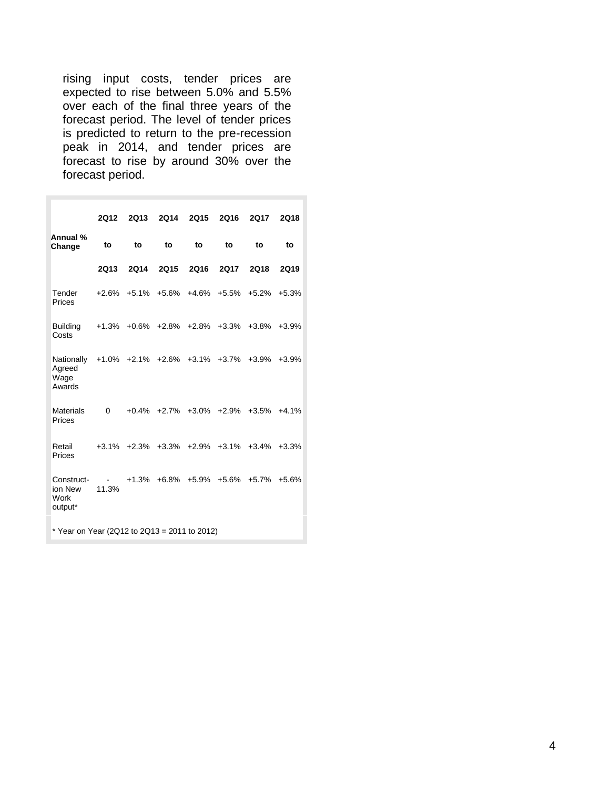rising input costs, tender prices are expected to rise between 5.0% and 5.5% over each of the final three years of the forecast period. The level of tender prices is predicted to return to the pre-recession peak in 2014, and tender prices are forecast to rise by around 30% over the forecast period.

|                                              | 2012            | <b>2Q13</b> | 2Q14        | 2015        | 2Q16        | <b>2Q17</b>                                           | <b>2Q18</b> |  |  |  |
|----------------------------------------------|-----------------|-------------|-------------|-------------|-------------|-------------------------------------------------------|-------------|--|--|--|
| Annual %<br>Change                           | to              | to          | to          | to          | to          | to                                                    | to          |  |  |  |
|                                              | 2Q13            | 2Q14        | <b>2Q15</b> | <b>2Q16</b> | <b>2Q17</b> | <b>2Q18</b>                                           | <b>2Q19</b> |  |  |  |
| Tender<br>Prices                             |                 |             |             |             |             | +2.6% +5.1% +5.6% +4.6% +5.5% +5.2%                   | $+5.3%$     |  |  |  |
| <b>Building</b><br>Costs                     |                 |             |             |             |             | +1.3% +0.6% +2.8% +2.8% +3.3% +3.8% +3.9%             |             |  |  |  |
| Nationally<br>Agreed<br>Wage<br>Awards       |                 |             |             |             |             | +1.0% +2.1% +2.6% +3.1% +3.7% +3.9%                   | $+3.9%$     |  |  |  |
| <b>Materials</b><br>Prices                   | $\Omega$        |             |             |             |             | $+0.4\%$ $+2.7\%$ $+3.0\%$ $+2.9\%$ $+3.5\%$ $+4.1\%$ |             |  |  |  |
| Retail<br>Prices                             |                 |             |             |             |             | +3.1% +2.3% +3.3% +2.9% +3.1% +3.4%                   | $+3.3%$     |  |  |  |
| Construct-<br>ion New<br>Work<br>output*     | $\sim$<br>11.3% |             |             |             |             | $+1.3\%$ $+6.8\%$ $+5.9\%$ $+5.6\%$ $+5.7\%$          | $+5.6%$     |  |  |  |
| * Year on Year (2Q12 to 2Q13 = 2011 to 2012) |                 |             |             |             |             |                                                       |             |  |  |  |